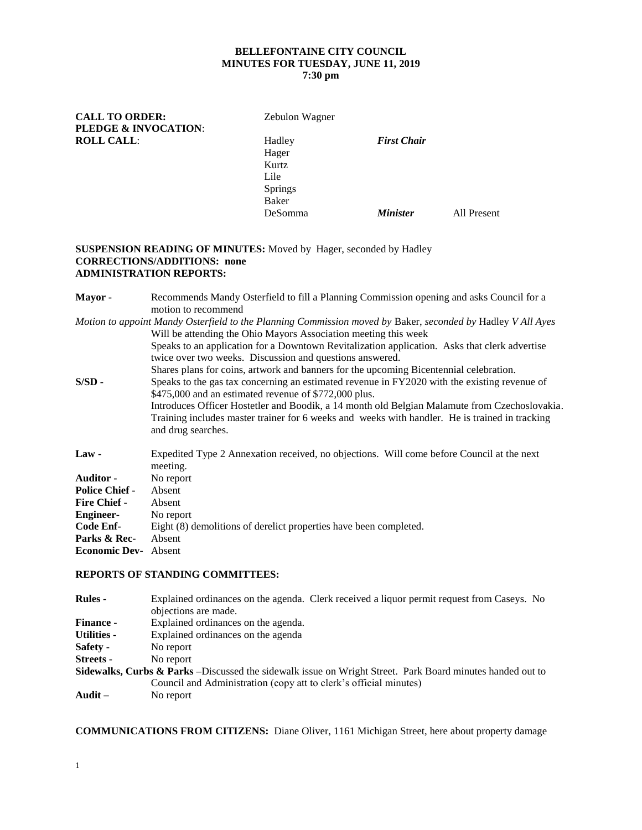# **BELLEFONTAINE CITY COUNCIL MINUTES FOR TUESDAY, JUNE 11, 2019**

## **7:30 pm**

**CALL TO ORDER:** Zebulon Wagner **PLEDGE & INVOCATION**: **ROLL CALL:** 

| <i>L</i> COULON <i>Wagner</i> |                        |             |
|-------------------------------|------------------------|-------------|
| Hadley                        | <b>First Chair</b>     |             |
| Hager                         |                        |             |
| Kurtz                         |                        |             |
| Lile                          |                        |             |
| <b>Springs</b>                |                        |             |
| <b>Baker</b>                  |                        |             |
| DeSomma                       | <i><b>Minister</b></i> | All Present |
|                               |                        |             |

### **SUSPENSION READING OF MINUTES:** Moved by Hager, seconded by Hadley **CORRECTIONS/ADDITIONS: none ADMINISTRATION REPORTS:**

| <b>Mayor</b> -              | Recommends Mandy Osterfield to fill a Planning Commission opening and asks Council for a<br>motion to recommend |
|-----------------------------|-----------------------------------------------------------------------------------------------------------------|
|                             | Motion to appoint Mandy Osterfield to the Planning Commission moved by Baker, seconded by Hadley V All Ayes     |
|                             | Will be attending the Ohio Mayors Association meeting this week                                                 |
|                             | Speaks to an application for a Downtown Revitalization application. Asks that clerk advertise                   |
|                             | twice over two weeks. Discussion and questions answered.                                                        |
|                             | Shares plans for coins, artwork and banners for the upcoming Bicentennial celebration.                          |
| S/SD -                      | Speaks to the gas tax concerning an estimated revenue in FY2020 with the existing revenue of                    |
|                             | \$475,000 and an estimated revenue of \$772,000 plus.                                                           |
|                             | Introduces Officer Hostetler and Boodik, a 14 month old Belgian Malamute from Czechoslovakia.                   |
|                             | Training includes master trainer for 6 weeks and weeks with handler. He is trained in tracking                  |
|                             | and drug searches.                                                                                              |
| Law -                       | Expedited Type 2 Annexation received, no objections. Will come before Council at the next                       |
|                             | meeting.                                                                                                        |
| Auditor -                   | No report                                                                                                       |
| <b>Police Chief -</b>       | Absent                                                                                                          |
| <b>Fire Chief -</b>         | Absent                                                                                                          |
| <b>Engineer-</b>            | No report                                                                                                       |
| Code Enf-                   | Eight (8) demolitions of derelict properties have been completed.                                               |
| Parks & Rec-                | Absent                                                                                                          |
| <b>Economic Dev-</b> Absent |                                                                                                                 |
|                             |                                                                                                                 |

#### **REPORTS OF STANDING COMMITTEES:**

| <b>Rules -</b>                                                                                                        | Explained ordinances on the agenda. Clerk received a liquor permit request from Caseys. No |  |  |
|-----------------------------------------------------------------------------------------------------------------------|--------------------------------------------------------------------------------------------|--|--|
|                                                                                                                       | objections are made.                                                                       |  |  |
| <b>Finance -</b>                                                                                                      | Explained ordinances on the agenda.                                                        |  |  |
| <b>Utilities -</b>                                                                                                    | Explained ordinances on the agenda                                                         |  |  |
| <b>Safety -</b>                                                                                                       | No report                                                                                  |  |  |
| Streets -                                                                                                             | No report                                                                                  |  |  |
| <b>Sidewalks, Curbs &amp; Parks</b> – Discussed the sidewalk issue on Wright Street. Park Board minutes handed out to |                                                                                            |  |  |
|                                                                                                                       | Council and Administration (copy att to clerk's official minutes)                          |  |  |
| Audit –                                                                                                               | No report                                                                                  |  |  |

**COMMUNICATIONS FROM CITIZENS:** Diane Oliver, 1161 Michigan Street, here about property damage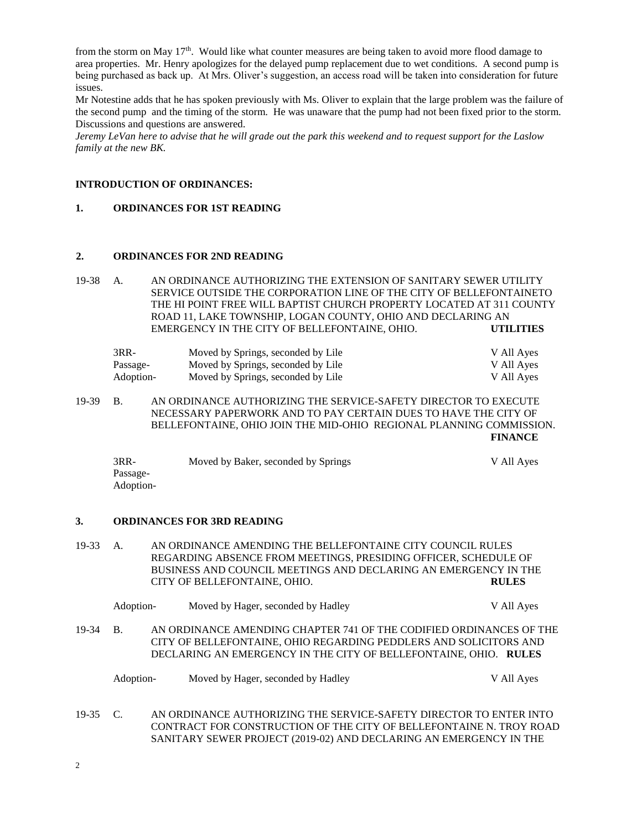from the storm on May  $17<sup>th</sup>$ . Would like what counter measures are being taken to avoid more flood damage to area properties. Mr. Henry apologizes for the delayed pump replacement due to wet conditions. A second pump is being purchased as back up. At Mrs. Oliver's suggestion, an access road will be taken into consideration for future issues.

Mr Notestine adds that he has spoken previously with Ms. Oliver to explain that the large problem was the failure of the second pump and the timing of the storm. He was unaware that the pump had not been fixed prior to the storm. Discussions and questions are answered.

*Jeremy LeVan here to advise that he will grade out the park this weekend and to request support for the Laslow family at the new BK.*

#### **INTRODUCTION OF ORDINANCES:**

#### **1. ORDINANCES FOR 1ST READING**

#### **2. ORDINANCES FOR 2ND READING**

19-38 A. AN ORDINANCE AUTHORIZING THE EXTENSION OF SANITARY SEWER UTILITY SERVICE OUTSIDE THE CORPORATION LINE OF THE CITY OF BELLEFONTAINETO THE HI POINT FREE WILL BAPTIST CHURCH PROPERTY LOCATED AT 311 COUNTY ROAD 11, LAKE TOWNSHIP, LOGAN COUNTY, OHIO AND DECLARING AN EMERGENCY IN THE CITY OF BELLEFONTAINE, OHIO. **UTILITIES**

| 3RR-      | Moved by Springs, seconded by Lile | V All Ayes |
|-----------|------------------------------------|------------|
| Passage-  | Moved by Springs, seconded by Lile | V All Ayes |
| Adoption- | Moved by Springs, seconded by Lile | V All Ayes |

19-39 B. AN ORDINANCE AUTHORIZING THE SERVICE-SAFETY DIRECTOR TO EXECUTE NECESSARY PAPERWORK AND TO PAY CERTAIN DUES TO HAVE THE CITY OF BELLEFONTAINE, OHIO JOIN THE MID-OHIO REGIONAL PLANNING COMMISSION. **FINANCE**

| $3RR-$    | Moved by Baker, seconded by Springs | V All Ayes |
|-----------|-------------------------------------|------------|
| Passage-  |                                     |            |
| Adoption- |                                     |            |

#### **3. ORDINANCES FOR 3RD READING**

19-33 A. AN ORDINANCE AMENDING THE BELLEFONTAINE CITY COUNCIL RULES REGARDING ABSENCE FROM MEETINGS, PRESIDING OFFICER, SCHEDULE OF BUSINESS AND COUNCIL MEETINGS AND DECLARING AN EMERGENCY IN THE CITY OF BELLEFONTAINE, OHIO. **RULES**

|          | Adoption- | Moved by Hager, seconded by Hadley                                                                                                                                                                           | V All Ayes |
|----------|-----------|--------------------------------------------------------------------------------------------------------------------------------------------------------------------------------------------------------------|------------|
| 19-34 B. |           | AN ORDINANCE AMENDING CHAPTER 741 OF THE CODIFIED ORDINANCES OF THE<br>CITY OF BELLEFONTAINE, OHIO REGARDING PEDDLERS AND SOLICITORS AND<br>DECLARING AN EMERGENCY IN THE CITY OF BELLEFONTAINE, OHIO. RULES |            |
|          | Adoption- | Moved by Hager, seconded by Hadley                                                                                                                                                                           | V All Ayes |

19-35 C. AN ORDINANCE AUTHORIZING THE SERVICE-SAFETY DIRECTOR TO ENTER INTO CONTRACT FOR CONSTRUCTION OF THE CITY OF BELLEFONTAINE N. TROY ROAD SANITARY SEWER PROJECT (2019-02) AND DECLARING AN EMERGENCY IN THE